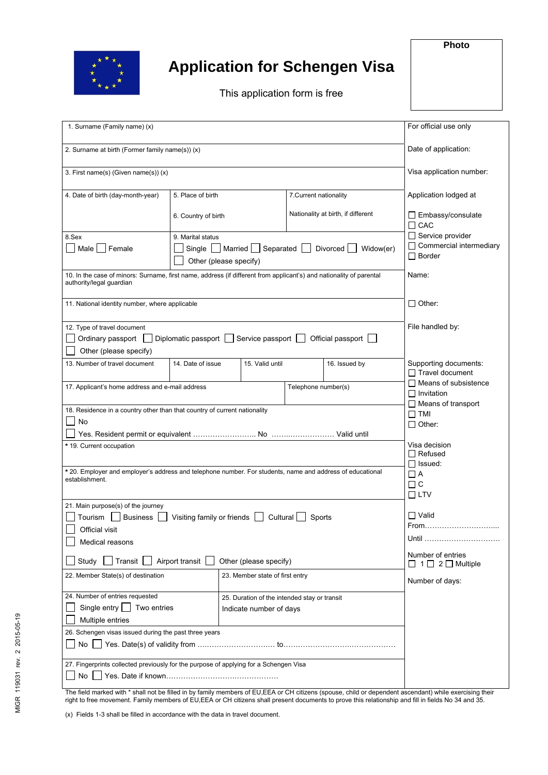

## **Application for Schengen Visa**

This application form is free

| 1. Surname (Family name) (x)                                                                                                                    | For official use only                                                   |                                                                         |                                                 |                                    |                                                 |
|-------------------------------------------------------------------------------------------------------------------------------------------------|-------------------------------------------------------------------------|-------------------------------------------------------------------------|-------------------------------------------------|------------------------------------|-------------------------------------------------|
| 2. Surname at birth (Former family name(s)) (x)                                                                                                 | Date of application:                                                    |                                                                         |                                                 |                                    |                                                 |
| 3. First name(s) (Given name(s)) (x)                                                                                                            | Visa application number:                                                |                                                                         |                                                 |                                    |                                                 |
| 4. Date of birth (day-month-year)                                                                                                               | 5. Place of birth                                                       |                                                                         | 7. Current nationality                          |                                    | Application lodged at                           |
|                                                                                                                                                 | 6. Country of birth                                                     |                                                                         |                                                 | Nationality at birth, if different | $\Box$ Embassy/consulate<br>$\Box$ CAC          |
|                                                                                                                                                 | $\Box$ Service provider                                                 |                                                                         |                                                 |                                    |                                                 |
| 8.Sex                                                                                                                                           |                                                                         |                                                                         |                                                 |                                    |                                                 |
| Male<br>  Female                                                                                                                                |                                                                         | Single $\Box$ Married $\Box$ Separated $\Box$<br>Other (please specify) | $\Box$ Commercial intermediary<br>$\Box$ Border |                                    |                                                 |
| 10. In the case of minors: Surname, first name, address (if different from applicant's) and nationality of parental<br>authority/legal guardian | Name:                                                                   |                                                                         |                                                 |                                    |                                                 |
|                                                                                                                                                 |                                                                         |                                                                         |                                                 |                                    |                                                 |
| 11. National identity number, where applicable                                                                                                  | $\Box$ Other:                                                           |                                                                         |                                                 |                                    |                                                 |
| 12. Type of travel document                                                                                                                     | File handled by:                                                        |                                                                         |                                                 |                                    |                                                 |
| Ordinary passport [<br>Diplomatic passport                                                                                                      |                                                                         |                                                                         |                                                 |                                    |                                                 |
| Other (please specify)                                                                                                                          |                                                                         |                                                                         |                                                 |                                    |                                                 |
|                                                                                                                                                 |                                                                         |                                                                         |                                                 |                                    |                                                 |
| 13. Number of travel document                                                                                                                   | 14. Date of issue                                                       | 15. Valid until                                                         |                                                 | 16. Issued by                      | Supporting documents:<br>$\Box$ Travel document |
| 17. Applicant's home address and e-mail address                                                                                                 | $\Box$ Means of subsistence                                             |                                                                         |                                                 |                                    |                                                 |
|                                                                                                                                                 |                                                                         |                                                                         | Telephone number(s)                             |                                    | $\Box$ Invitation                               |
|                                                                                                                                                 | $\Box$ Means of transport                                               |                                                                         |                                                 |                                    |                                                 |
| 18. Residence in a country other than that country of current nationality                                                                       | $\Box$ TMI                                                              |                                                                         |                                                 |                                    |                                                 |
| No                                                                                                                                              | $\Box$ Other:                                                           |                                                                         |                                                 |                                    |                                                 |
|                                                                                                                                                 |                                                                         |                                                                         |                                                 |                                    |                                                 |
| * 19. Current occupation                                                                                                                        | Visa decision                                                           |                                                                         |                                                 |                                    |                                                 |
|                                                                                                                                                 | $\Box$ Refused                                                          |                                                                         |                                                 |                                    |                                                 |
|                                                                                                                                                 | $\Box$ Issued:                                                          |                                                                         |                                                 |                                    |                                                 |
| * 20. Employer and employer's address and telephone number. For students, name and address of educational                                       | □ A                                                                     |                                                                         |                                                 |                                    |                                                 |
| establishment.                                                                                                                                  | $\Box$ $C$                                                              |                                                                         |                                                 |                                    |                                                 |
|                                                                                                                                                 | $\square$ ltv                                                           |                                                                         |                                                 |                                    |                                                 |
|                                                                                                                                                 |                                                                         |                                                                         |                                                 |                                    |                                                 |
| 21. Main purpose(s) of the journey                                                                                                              | $\Box$ Valid                                                            |                                                                         |                                                 |                                    |                                                 |
| <b>△ Tourism</b> △ Business △ Visiting family or friends △ Cultural                                                                             | From.                                                                   |                                                                         |                                                 |                                    |                                                 |
| Official visit                                                                                                                                  |                                                                         |                                                                         |                                                 |                                    |                                                 |
| Medical reasons                                                                                                                                 | Until                                                                   |                                                                         |                                                 |                                    |                                                 |
| Study Transit<br>Airport transit                                                                                                                | Number of entries<br>$\Box$ 1 $\Box$ 2 $\Box$ Multiple                  |                                                                         |                                                 |                                    |                                                 |
| 22. Member State(s) of destination                                                                                                              | 23. Member state of first entry                                         |                                                                         |                                                 | Number of days:                    |                                                 |
| 24. Number of entries requested                                                                                                                 |                                                                         |                                                                         |                                                 |                                    |                                                 |
| Single entry $\Box$<br>Two entries                                                                                                              | 25. Duration of the intended stay or transit<br>Indicate number of days |                                                                         |                                                 |                                    |                                                 |
| Multiple entries                                                                                                                                |                                                                         |                                                                         |                                                 |                                    |                                                 |
|                                                                                                                                                 |                                                                         |                                                                         |                                                 |                                    |                                                 |
| 26. Schengen visas issued during the past three years                                                                                           |                                                                         |                                                                         |                                                 |                                    |                                                 |
|                                                                                                                                                 |                                                                         |                                                                         |                                                 |                                    |                                                 |
| 27. Fingerprints collected previously for the purpose of applying for a Schengen Visa                                                           |                                                                         |                                                                         |                                                 |                                    |                                                 |
| No                                                                                                                                              |                                                                         |                                                                         |                                                 |                                    |                                                 |
|                                                                                                                                                 |                                                                         |                                                                         |                                                 |                                    |                                                 |

The field marked with \* shall not be filled in by family members of EU,EEA or CH citizens (spouse, child or dependent ascendant) while exercising their right to free movement. Family members of EU,EEA or CH citizens shall present documents to prove this relationship and fill in fields No 34 and 35.

(x) Fields 1-3 shall be filled in accordance with the data in travel document.